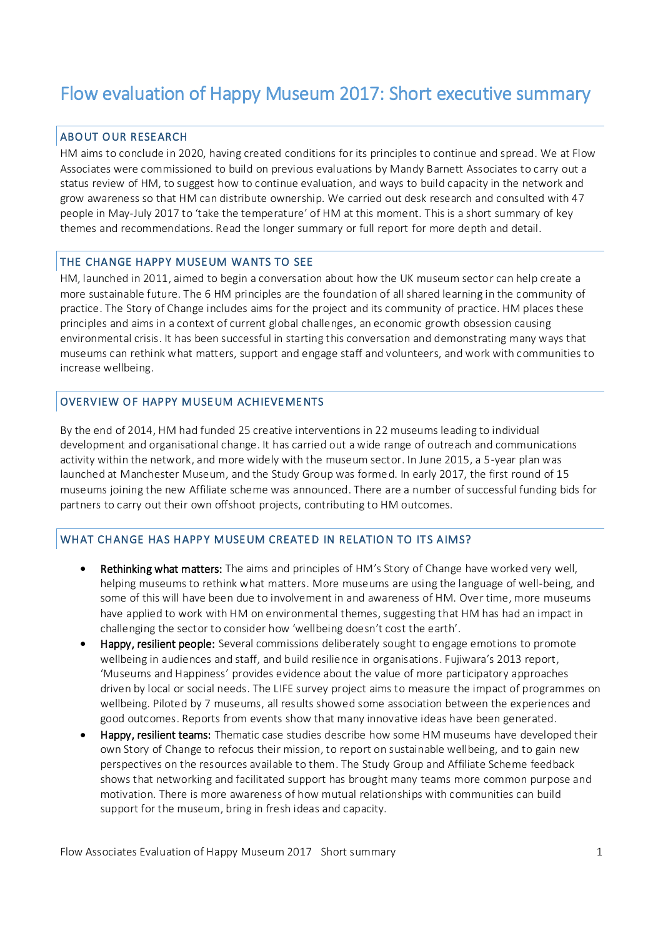# Flow evaluation of Happy Museum 2017: Short executive summary

## ABOUT OUR RESEARCH

HM aims to conclude in 2020, having created conditions for its principles to continue and spread. We at Flow Associates were commissioned to build on previous evaluations by Mandy Barnett Associates to carry out a status review of HM, to suggest how to continue evaluation, and ways to build capacity in the network and grow awareness so that HM can distribute ownership. We carried out desk research and consulted with 47 people in May-July 2017 to 'take the temperature' of HM at this moment. This is a short summary of key themes and recommendations. Read the longer summary or full report for more depth and detail.

## THE CHANGE HAPPY MUSEUM WANTS TO SEE

HM, launched in 2011, aimed to begin a conversation about how the UK museum sector can help create a more sustainable future. The 6 HM principles are the foundation of all shared learning in the community of practice. The Story of Change includes aims for the project and its community of practice. HM places these principles and aims in a context of current global challenges, an economic growth obsession causing environmental crisis. It has been successful in starting this conversation and demonstrating many ways that museums can rethink what matters, support and engage staff and volunteers, and work with communities to increase wellbeing.

## OVERVIEW OF HAPPY MUSEUM ACHIEVEMENTS

By the end of 2014, HM had funded 25 creative interventions in 22 museums leading to individual development and organisational change. It has carried out a wide range of outreach and communications activity within the network, and more widely with the museum sector. In June 2015, a 5-year plan was launched at Manchester Museum, and the Study Group was formed. In early 2017, the first round of 15 museums joining the new Affiliate scheme was announced. There are a number of successful funding bids for partners to carry out their own offshoot projects, contributing to HM outcomes.

## WHAT CHANGE HAS HAPPY MUSEUM CREATED IN RELATION TO ITS AIMS?

- Rethinking what matters: The aims and principles of HM's Story of Change have worked very well, helping museums to rethink what matters. More museums are using the language of well-being, and some of this will have been due to involvement in and awareness of HM. Over time, more museums have applied to work with HM on environmental themes, suggesting that HM has had an impact in challenging the sector to consider how 'wellbeing doesn't cost the earth'.
- Happy, resilient people: Several commissions deliberately sought to engage emotions to promote wellbeing in audiences and staff, and build resilience in organisations. Fujiwara's 2013 report, 'Museums and Happiness' provides evidence about the value of more participatory approaches driven by local or social needs. The LIFE survey project aims to measure the impact of programmes on wellbeing. Piloted by 7 museums, all results showed some association between the experiences and good outcomes. Reports from events show that many innovative ideas have been generated.
- Happy, resilient teams: Thematic case studies describe how some HM museums have developed their own Story of Change to refocus their mission, to report on sustainable wellbeing, and to gain new perspectives on the resources available to them. The Study Group and Affiliate Scheme feedback shows that networking and facilitated support has brought many teams more common purpose and motivation. There is more awareness of how mutual relationships with communities can build support for the museum, bring in fresh ideas and capacity.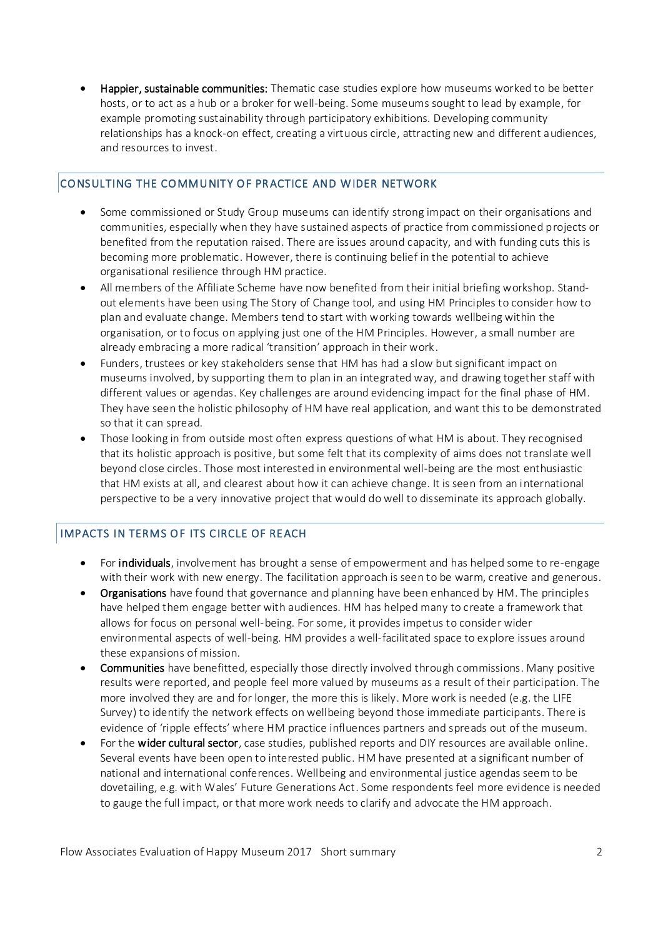Happier, sustainable communities: Thematic case studies explore how museums worked to be better hosts, or to act as a hub or a broker for well-being. Some museums sought to lead by example, for example promoting sustainability through participatory exhibitions. Developing community relationships has a knock-on effect, creating a virtuous circle, attracting new and different audiences, and resources to invest.

## CONSULTING THE COMMUNITY OF PRACTICE AND WIDER NETWORK

- Some commissioned or Study Group museums can identify strong impact on their organisations and communities, especially when they have sustained aspects of practice from commissioned projects or benefited from the reputation raised. There are issues around capacity, and with funding cuts this is becoming more problematic. However, there is continuing belief in the potential to achieve organisational resilience through HM practice.
- All members of the Affiliate Scheme have now benefited from their initial briefing workshop. Standout elements have been using The Story of Change tool, and using HM Principles to consider how to plan and evaluate change. Members tend to start with working towards wellbeing within the organisation, or to focus on applying just one of the HM Principles. However, a small number are already embracing a more radical 'transition' approach in their work .
- Funders, trustees or key stakeholders sense that HM has had a slow but significant impact on museums involved, by supporting them to plan in an integrated way, and drawing together staff with different values or agendas. Key challenges are around evidencing impact for the final phase of HM. They have seen the holistic philosophy of HM have real application, and want this to be demonstrated so that it can spread.
- Those looking in from outside most often express questions of what HM is about. They recognised that its holistic approach is positive, but some felt that its complexity of aims does not translate well beyond close circles. Those most interested in environmental well-being are the most enthusiastic that HM exists at all, and clearest about how it can achieve change. It is seen from an international perspective to be a very innovative project that would do well to disseminate its approach globally.

## IMPACTS IN TERMS OF ITS CIRCLE OF REACH

- For **individuals**, involvement has brought a sense of empowerment and has helped some to re-engage with their work with new energy. The facilitation approach is seen to be warm, creative and generous.
- Organisations have found that governance and planning have been enhanced by HM. The principles have helped them engage better with audiences. HM has helped many to create a framework that allows for focus on personal well-being. For some, it provides impetus to consider wider environmental aspects of well-being. HM provides a well-facilitated space to explore issues around these expansions of mission.
- Communities have benefitted, especially those directly involved through commissions. Many positive results were reported, and people feel more valued by museums as a result of their participation. The more involved they are and for longer, the more this is likely. More work is needed (e.g. the LIFE Survey) to identify the network effects on wellbeing beyond those immediate participants. There is evidence of 'ripple effects' where HM practice influences partners and spreads out of the museum.
- For the wider cultural sector, case studies, published reports and DIY resources are available online. Several events have been open to interested public. HM have presented at a significant number of national and international conferences. Wellbeing and environmental justice agendas seem to be dovetailing, e.g. with Wales' Future Generations Act. Some respondents feel more evidence is needed to gauge the full impact, or that more work needs to clarify and advocate the HM approach.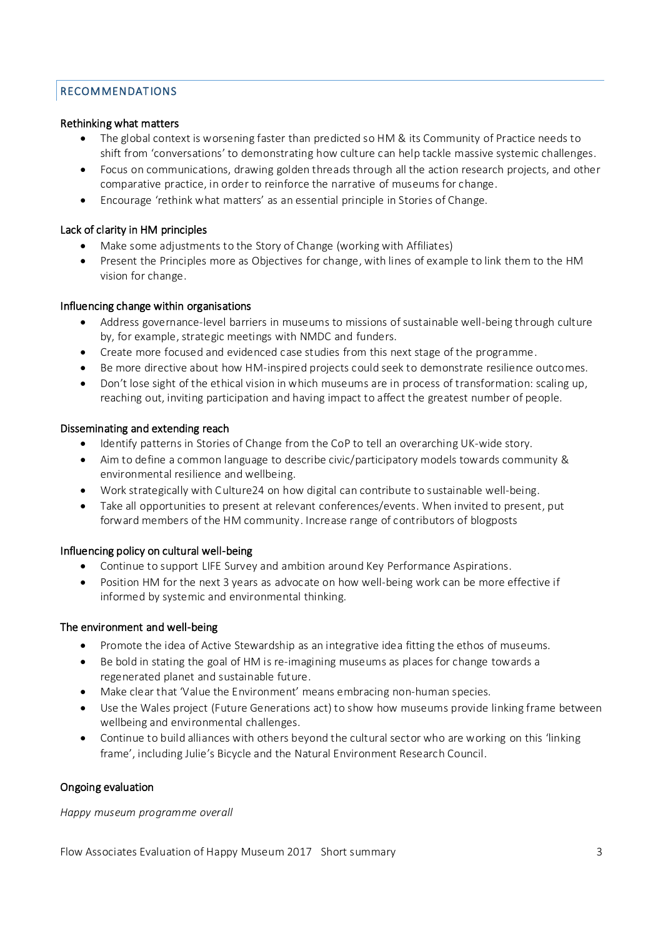## **RECOMMENDATIONS**

## Rethinking what matters

- The global context is worsening faster than predicted so HM & its Community of Practice needs to shift from 'conversations' to demonstrating how culture can help tackle massive systemic challenges.
- Focus on communications, drawing golden threads through all the action research projects, and other comparative practice, in order to reinforce the narrative of museums for change.
- Encourage 'rethink what matters' as an essential principle in Stories of Change.

## Lack of clarity in HM principles

- Make some adjustments to the Story of Change (working with Affiliates)
- Present the Principles more as Objectives for change, with lines of example to link them to the HM vision for change.

## Influencing change within organisations

- Address governance-level barriers in museums to missions of sustainable well-being through culture by, for example, strategic meetings with NMDC and funders.
- Create more focused and evidenced case studies from this next stage of the programme.
- Be more directive about how HM-inspired projects could seek to demonstrate resilience outcomes.
- Don't lose sight of the ethical vision in which museums are in process of transformation: scaling up, reaching out, inviting participation and having impact to affect the greatest number of people.

## Disseminating and extending reach

- Identify patterns in Stories of Change from the CoP to tell an overarching UK-wide story.
- Aim to define a common language to describe civic/participatory models towards community & environmental resilience and wellbeing.
- Work strategically with Culture24 on how digital can contribute to sustainable well-being.
- Take all opportunities to present at relevant conferences/events. When invited to present, put forward members of the HM community. Increase range of contributors of blogposts

## Influencing policy on cultural well-being

- Continue to support LIFE Survey and ambition around Key Performance Aspirations.
- Position HM for the next 3 years as advocate on how well-being work can be more effective if informed by systemic and environmental thinking.

## The environment and well-being

- Promote the idea of Active Stewardship as an integrative idea fitting the ethos of museums.
- Be bold in stating the goal of HM is re-imagining museums as places for change towards a regenerated planet and sustainable future.
- Make clear that 'Value the Environment' means embracing non-human species.
- Use the Wales project (Future Generations act) to show how museums provide linking frame between wellbeing and environmental challenges.
- Continue to build alliances with others beyond the cultural sector who are working on this 'linking frame', including Julie's Bicycle and the Natural Environment Research Council.

## Ongoing evaluation

*Happy museum programme overall*